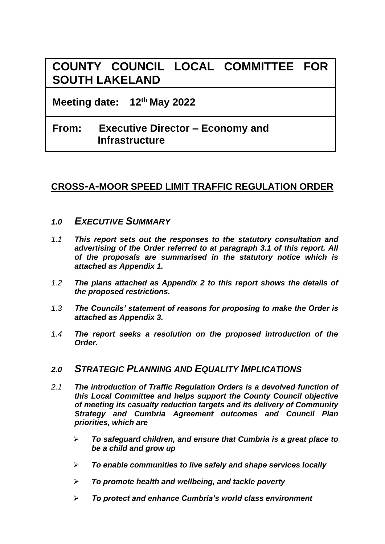# **COUNTY COUNCIL LOCAL COMMITTEE FOR SOUTH LAKELAND**

**Meeting date: 12th May 2022**

# **From: Executive Director – Economy and Infrastructure**

## **CROSS-A-MOOR SPEED LIMIT TRAFFIC REGULATION ORDER**

### *1.0 EXECUTIVE SUMMARY*

- *1.1 This report sets out the responses to the statutory consultation and advertising of the Order referred to at paragraph 3.1 of this report. All of the proposals are summarised in the statutory notice which is attached as Appendix 1.*
- *1.2 The plans attached as Appendix 2 to this report shows the details of the proposed restrictions.*
- *1.3 The Councils' statement of reasons for proposing to make the Order is attached as Appendix 3.*
- *1.4 The report seeks a resolution on the proposed introduction of the Order.*

### *2.0 STRATEGIC PLANNING AND EQUALITY IMPLICATIONS*

- *2.1 The introduction of Traffic Regulation Orders is a devolved function of this Local Committee and helps support the County Council objective of meeting its casualty reduction targets and its delivery of Community Strategy and Cumbria Agreement outcomes and Council Plan priorities, which are*
	- ➢ *To safeguard children, and ensure that Cumbria is a great place to be a child and grow up*
	- ➢ *To enable communities to live safely and shape services locally*
	- ➢ *To promote health and wellbeing, and tackle poverty*
	- ➢ *To protect and enhance Cumbria's world class environment*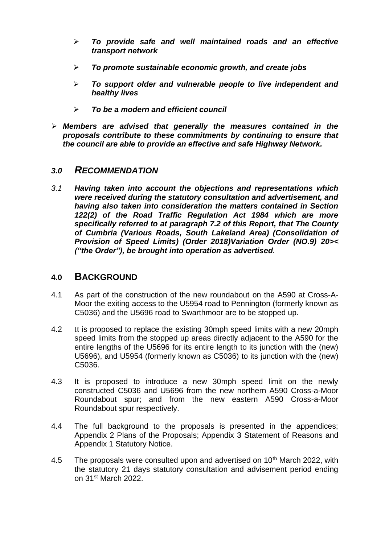- ➢ *To provide safe and well maintained roads and an effective transport network*
- ➢ *To promote sustainable economic growth, and create jobs*
- ➢ *To support older and vulnerable people to live independent and healthy lives*
- ➢ *To be a modern and efficient council*
- ➢ *Members are advised that generally the measures contained in the proposals contribute to these commitments by continuing to ensure that the council are able to provide an effective and safe Highway Network.*

### *3.0 RECOMMENDATION*

*3.1 Having taken into account the objections and representations which were received during the statutory consultation and advertisement, and having also taken into consideration the matters contained in Section 122(2) of the Road Traffic Regulation Act 1984 which are more specifically referred to at paragraph 7.2 of this Report, that The County of Cumbria (Various Roads, South Lakeland Area) (Consolidation of Provision of Speed Limits) (Order 2018)Variation Order (NO.9) 20>< ("the Order"), be brought into operation as advertised.*

#### **4.0 BACKGROUND**

- 4.1 As part of the construction of the new roundabout on the A590 at Cross-A-Moor the exiting access to the U5954 road to Pennington (formerly known as C5036) and the U5696 road to Swarthmoor are to be stopped up.
- 4.2 It is proposed to replace the existing 30mph speed limits with a new 20mph speed limits from the stopped up areas directly adjacent to the A590 for the entire lengths of the U5696 for its entire length to its junction with the (new) U5696), and U5954 (formerly known as C5036) to its junction with the (new) C5036.
- 4.3 It is proposed to introduce a new 30mph speed limit on the newly constructed C5036 and U5696 from the new northern A590 Cross-a-Moor Roundabout spur; and from the new eastern A590 Cross-a-Moor Roundabout spur respectively.
- 4.4 The full background to the proposals is presented in the appendices; Appendix 2 Plans of the Proposals; Appendix 3 Statement of Reasons and Appendix 1 Statutory Notice.
- 4.5 The proposals were consulted upon and advertised on  $10<sup>th</sup>$  March 2022, with the statutory 21 days statutory consultation and advisement period ending on 31st March 2022.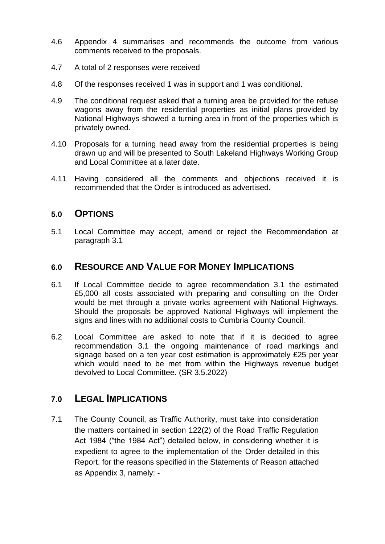- 4.6 Appendix 4 summarises and recommends the outcome from various comments received to the proposals.
- 4.7 A total of 2 responses were received
- 4.8 Of the responses received 1 was in support and 1 was conditional.
- 4.9 The conditional request asked that a turning area be provided for the refuse wagons away from the residential properties as initial plans provided by National Highways showed a turning area in front of the properties which is privately owned.
- 4.10 Proposals for a turning head away from the residential properties is being drawn up and will be presented to South Lakeland Highways Working Group and Local Committee at a later date.
- 4.11 Having considered all the comments and objections received it is recommended that the Order is introduced as advertised.

### **5.0 OPTIONS**

5.1 Local Committee may accept, amend or reject the Recommendation at paragraph 3.1

### **6.0 RESOURCE AND VALUE FOR MONEY IMPLICATIONS**

- 6.1 If Local Committee decide to agree recommendation 3.1 the estimated £5,000 all costs associated with preparing and consulting on the Order would be met through a private works agreement with National Highways. Should the proposals be approved National Highways will implement the signs and lines with no additional costs to Cumbria County Council.
- 6.2 Local Committee are asked to note that if it is decided to agree recommendation 3.1 the ongoing maintenance of road markings and signage based on a ten year cost estimation is approximately £25 per year which would need to be met from within the Highways revenue budget devolved to Local Committee. (SR 3.5.2022)

### **7.0 LEGAL IMPLICATIONS**

7.1 The County Council, as Traffic Authority, must take into consideration the matters contained in section 122(2) of the Road Traffic Regulation Act 1984 ("the 1984 Act") detailed below, in considering whether it is expedient to agree to the implementation of the Order detailed in this Report. for the reasons specified in the Statements of Reason attached as Appendix 3, namely: -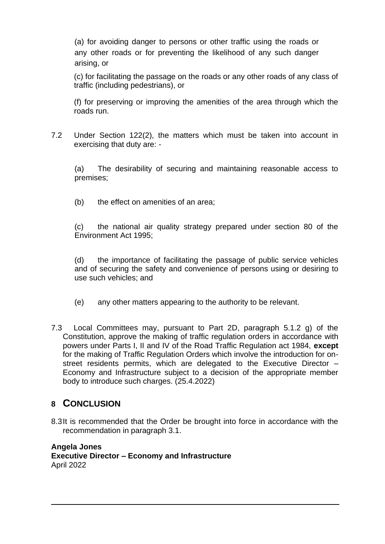(a) for avoiding danger to persons or other traffic using the roads or any other roads or for preventing the likelihood of any such danger arising, or

(c) for facilitating the passage on the roads or any other roads of any class of traffic (including pedestrians), or

(f) for preserving or improving the amenities of the area through which the roads run.

7.2 Under Section 122(2), the matters which must be taken into account in exercising that duty are: -

(a) The desirability of securing and maintaining reasonable access to premises;

(b) the effect on amenities of an area;

(c) the national air quality strategy prepared under section 80 of the Environment Act 1995;

(d) the importance of facilitating the passage of public service vehicles and of securing the safety and convenience of persons using or desiring to use such vehicles; and

- (e) any other matters appearing to the authority to be relevant.
- 7.3 Local Committees may, pursuant to Part 2D, paragraph 5.1.2 g) of the Constitution, approve the making of traffic regulation orders in accordance with powers under Parts I, II and IV of the Road Traffic Regulation act 1984, **except**  for the making of Traffic Regulation Orders which involve the introduction for onstreet residents permits, which are delegated to the Executive Director – Economy and Infrastructure subject to a decision of the appropriate member body to introduce such charges. (25.4.2022)

### **8 CONCLUSION**

8.3It is recommended that the Order be brought into force in accordance with the recommendation in paragraph 3.1.

#### **Angela Jones Executive Director – Economy and Infrastructure** April 2022